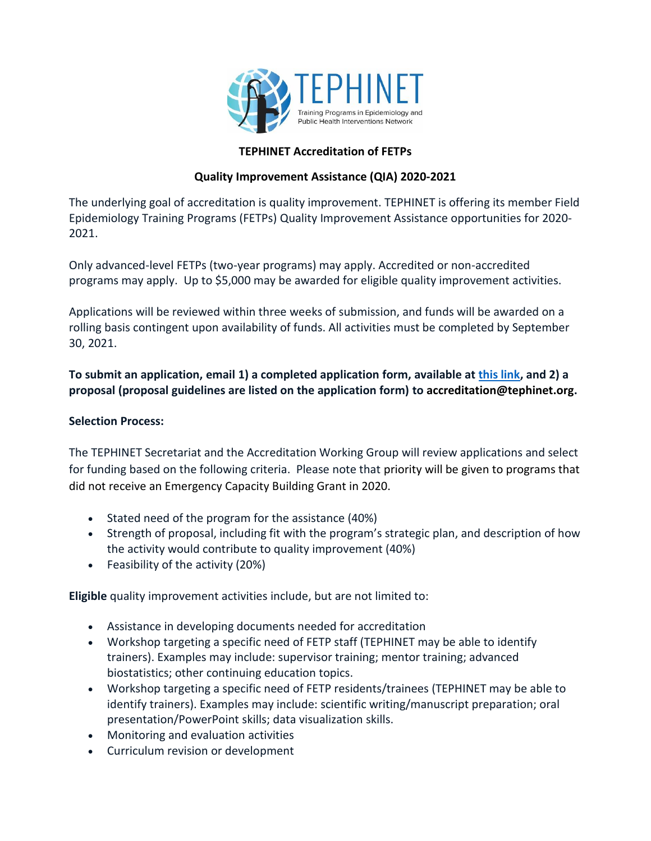

## **TEPHINET Accreditation of FETPs**

## **Quality Improvement Assistance (QIA) 2020-2021**

The underlying goal of accreditation is quality improvement. TEPHINET is offering its member Field Epidemiology Training Programs (FETPs) Quality Improvement Assistance opportunities for 2020- 2021.

Only advanced-level FETPs (two-year programs) may apply. Accredited or non-accredited programs may apply. Up to \$5,000 may be awarded for eligible quality improvement activities.

Applications will be reviewed within three weeks of submission, and funds will be awarded on a rolling basis contingent upon availability of funds. All activities must be completed by September 30, 2021.

**To submit an application, email 1) a completed application form, available at [this link,](https://www.tephinet.org/accreditation/quality-improvement-assistance-opportunities) and 2) a proposal (proposal guidelines are listed on the application form) to accreditation@tephinet.org.**

## **Selection Process:**

The TEPHINET Secretariat and the Accreditation Working Group will review applications and select for funding based on the following criteria. Please note that priority will be given to programs that did not receive an Emergency Capacity Building Grant in 2020.

- Stated need of the program for the assistance (40%)
- Strength of proposal, including fit with the program's strategic plan, and description of how the activity would contribute to quality improvement (40%)
- Feasibility of the activity (20%)

**Eligible** quality improvement activities include, but are not limited to:

- Assistance in developing documents needed for accreditation
- Workshop targeting a specific need of FETP staff (TEPHINET may be able to identify trainers). Examples may include: supervisor training; mentor training; advanced biostatistics; other continuing education topics.
- Workshop targeting a specific need of FETP residents/trainees (TEPHINET may be able to identify trainers). Examples may include: scientific writing/manuscript preparation; oral presentation/PowerPoint skills; data visualization skills.
- Monitoring and evaluation activities
- Curriculum revision or development